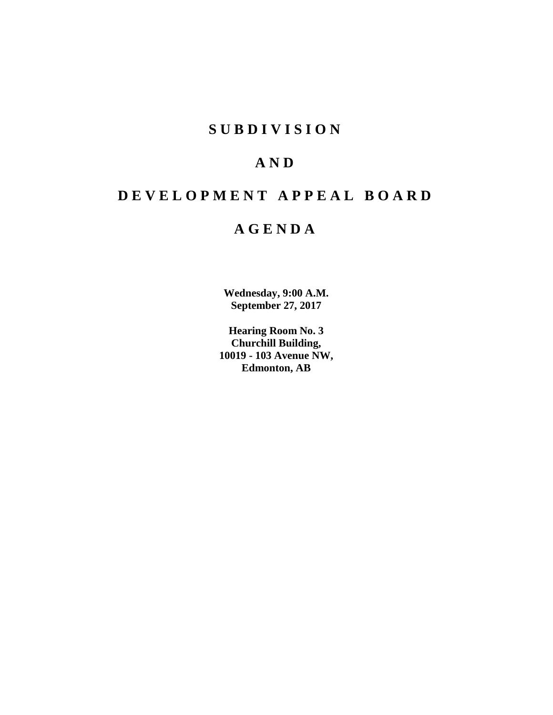## **SUBDIVISION**

## **AND**

# **DEVELOPMENT APPEAL BOARD**

## **AGENDA**

**Wednesday, 9:00 A.M. September 27, 2017**

**Hearing Room No. 3 Churchill Building, 10019 - 103 Avenue NW, Edmonton, AB**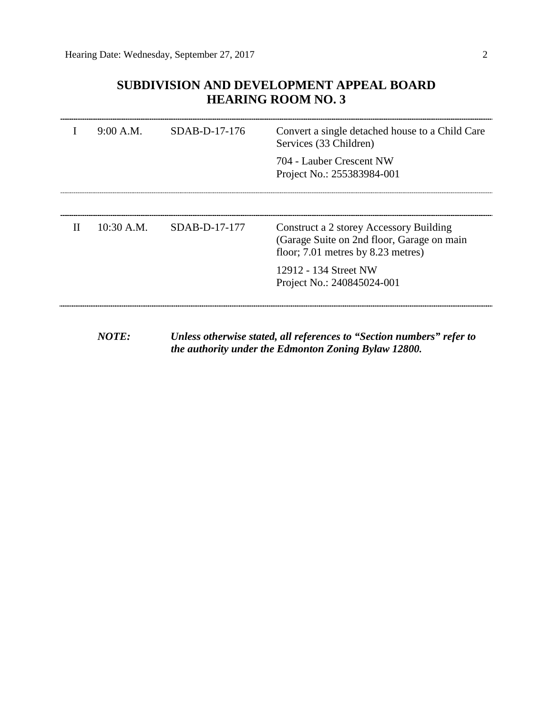## **SUBDIVISION AND DEVELOPMENT APPEAL BOARD HEARING ROOM NO. 3**

|   | 9:00 A.M. | SDAB-D-17-176              | Convert a single detached house to a Child Care<br>Services (33 Children)                                                       |  |
|---|-----------|----------------------------|---------------------------------------------------------------------------------------------------------------------------------|--|
|   |           |                            | 704 - Lauber Crescent NW<br>Project No.: 255383984-001                                                                          |  |
|   |           |                            |                                                                                                                                 |  |
| Н |           | $10:30$ A.M. SDAB-D-17-177 | Construct a 2 storey Accessory Building<br>(Garage Suite on 2nd floor, Garage on main<br>floor; $7.01$ metres by $8.23$ metres) |  |
|   |           |                            | 12912 - 134 Street NW<br>Project No.: 240845024-001                                                                             |  |
|   |           |                            |                                                                                                                                 |  |

*NOTE: Unless otherwise stated, all references to "Section numbers" refer to the authority under the Edmonton Zoning Bylaw 12800.*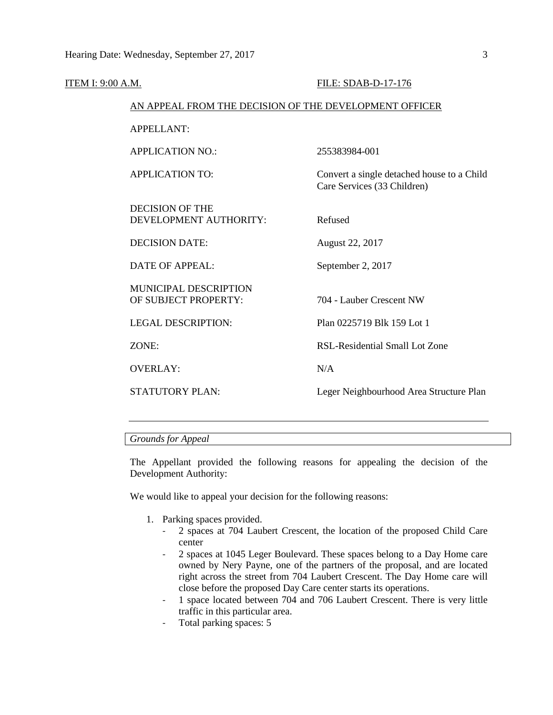| ITEM I: 9:00 A.M. |                                                        | FILE: SDAB-D-17-176                                                       |
|-------------------|--------------------------------------------------------|---------------------------------------------------------------------------|
|                   | AN APPEAL FROM THE DECISION OF THE DEVELOPMENT OFFICER |                                                                           |
|                   | <b>APPELLANT:</b>                                      |                                                                           |
|                   | <b>APPLICATION NO.:</b>                                | 255383984-001                                                             |
|                   | <b>APPLICATION TO:</b>                                 | Convert a single detached house to a Child<br>Care Services (33 Children) |
|                   | <b>DECISION OF THE</b><br>DEVELOPMENT AUTHORITY:       | Refused                                                                   |
|                   | <b>DECISION DATE:</b>                                  | August 22, 2017                                                           |
|                   | DATE OF APPEAL:                                        | September 2, 2017                                                         |
|                   | <b>MUNICIPAL DESCRIPTION</b><br>OF SUBJECT PROPERTY:   | 704 - Lauber Crescent NW                                                  |
|                   | <b>LEGAL DESCRIPTION:</b>                              | Plan 0225719 Blk 159 Lot 1                                                |
|                   | ZONE:                                                  | RSL-Residential Small Lot Zone                                            |
|                   | <b>OVERLAY:</b>                                        | N/A                                                                       |
|                   | <b>STATUTORY PLAN:</b>                                 | Leger Neighbourhood Area Structure Plan                                   |
|                   |                                                        |                                                                           |

## *Grounds for Appeal*

The Appellant provided the following reasons for appealing the decision of the Development Authority:

We would like to appeal your decision for the following reasons:

- 1. Parking spaces provided.
	- 2 spaces at 704 Laubert Crescent, the location of the proposed Child Care center
	- 2 spaces at 1045 Leger Boulevard. These spaces belong to a Day Home care owned by Nery Payne, one of the partners of the proposal, and are located right across the street from 704 Laubert Crescent. The Day Home care will close before the proposed Day Care center starts its operations.
	- 1 space located between 704 and 706 Laubert Crescent. There is very little traffic in this particular area.
	- Total parking spaces: 5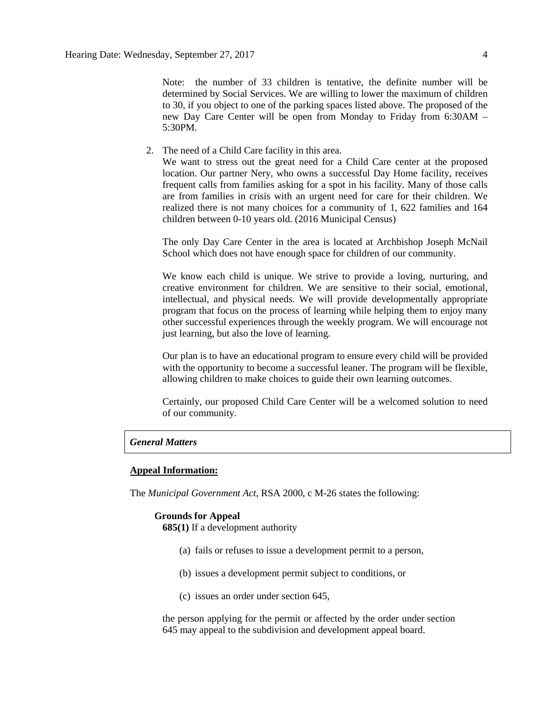Note: the number of 33 children is tentative, the definite number will be determined by Social Services. We are willing to lower the maximum of children to 30, if you object to one of the parking spaces listed above. The proposed of the new Day Care Center will be open from Monday to Friday from 6:30AM – 5:30PM.

2. The need of a Child Care facility in this area.

We want to stress out the great need for a Child Care center at the proposed location. Our partner Nery, who owns a successful Day Home facility, receives frequent calls from families asking for a spot in his facility. Many of those calls are from families in crisis with an urgent need for care for their children. We realized there is not many choices for a community of 1, 622 families and 164 children between 0-10 years old. (2016 Municipal Census)

The only Day Care Center in the area is located at Archbishop Joseph McNail School which does not have enough space for children of our community.

We know each child is unique. We strive to provide a loving, nurturing, and creative environment for children. We are sensitive to their social, emotional, intellectual, and physical needs. We will provide developmentally appropriate program that focus on the process of learning while helping them to enjoy many other successful experiences through the weekly program. We will encourage not just learning, but also the love of learning.

Our plan is to have an educational program to ensure every child will be provided with the opportunity to become a successful leaner. The program will be flexible, allowing children to make choices to guide their own learning outcomes.

Certainly, our proposed Child Care Center will be a welcomed solution to need of our community.

## *General Matters*

#### **Appeal Information:**

The *Municipal Government Act*, RSA 2000, c M-26 states the following:

## **Grounds for Appeal**

**685(1)** If a development authority

- (a) fails or refuses to issue a development permit to a person,
- (b) issues a development permit subject to conditions, or
- (c) issues an order under section 645,

the person applying for the permit or affected by the order under section 645 may appeal to the subdivision and development appeal board.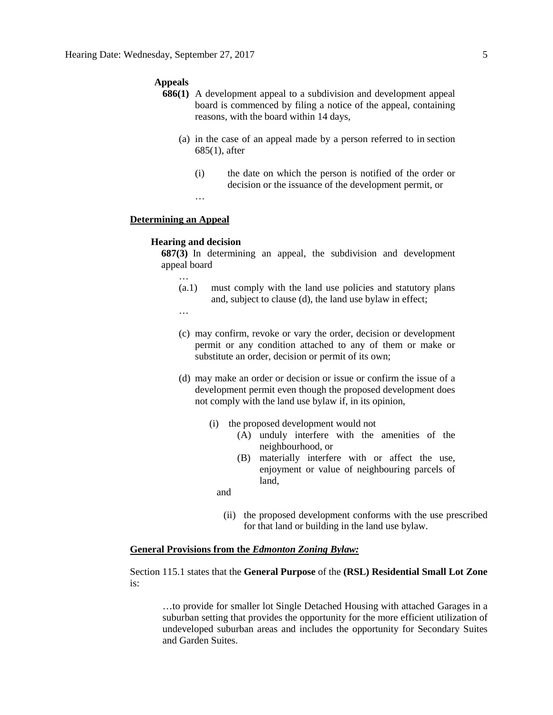#### **Appeals**

- **686(1)** A development appeal to a subdivision and development appeal board is commenced by filing a notice of the appeal, containing reasons, with the board within 14 days,
	- (a) in the case of an appeal made by a person referred to in section 685(1), after
		- (i) the date on which the person is notified of the order or decision or the issuance of the development permit, or

…

## **Determining an Appeal**

## **Hearing and decision**

**687(3)** In determining an appeal, the subdivision and development appeal board

- (a.1) must comply with the land use policies and statutory plans and, subject to clause (d), the land use bylaw in effect;
- …

…

- (c) may confirm, revoke or vary the order, decision or development permit or any condition attached to any of them or make or substitute an order, decision or permit of its own;
- (d) may make an order or decision or issue or confirm the issue of a development permit even though the proposed development does not comply with the land use bylaw if, in its opinion,
	- (i) the proposed development would not
		- (A) unduly interfere with the amenities of the neighbourhood, or
		- (B) materially interfere with or affect the use, enjoyment or value of neighbouring parcels of land,
		- and
			- (ii) the proposed development conforms with the use prescribed for that land or building in the land use bylaw.

#### **General Provisions from the** *Edmonton Zoning Bylaw:*

Section 115.1 states that the **General Purpose** of the **(RSL) Residential Small Lot Zone** is:

…to provide for smaller lot Single Detached Housing with attached Garages in a suburban setting that provides the opportunity for the more efficient utilization of undeveloped suburban areas and includes the opportunity for Secondary Suites and Garden Suites.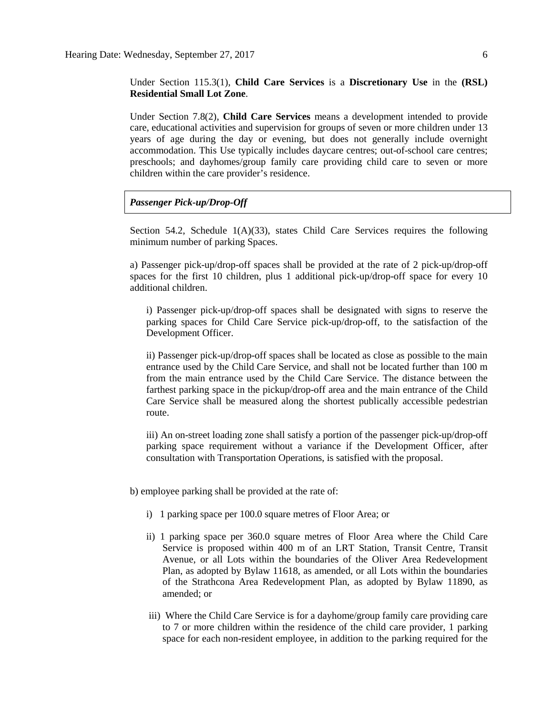Under Section 115.3(1), **Child Care Services** is a **Discretionary Use** in the **(RSL) Residential Small Lot Zone**.

Under Section 7.8(2), **Child Care Services** means a development intended to provide care, educational activities and supervision for groups of seven or more children under 13 years of age during the day or evening, but does not generally include overnight accommodation. This Use typically includes daycare centres; out-of-school care centres; preschools; and dayhomes/group family care providing child care to seven or more children within the care provider's residence.

*Passenger Pick-up/Drop-Off*

Section 54.2, Schedule  $1(A)(33)$ , states Child Care Services requires the following minimum number of parking Spaces.

a) Passenger pick-up/drop-off spaces shall be provided at the rate of 2 pick-up/drop-off spaces for the first 10 children, plus 1 additional pick-up/drop-off space for every 10 additional children.

i) Passenger pick-up/drop-off spaces shall be designated with signs to reserve the parking spaces for Child Care Service pick-up/drop-off, to the satisfaction of the Development Officer.

ii) Passenger pick-up/drop-off spaces shall be located as close as possible to the main entrance used by the Child Care Service, and shall not be located further than 100 m from the main entrance used by the Child Care Service. The distance between the farthest parking space in the pickup/drop-off area and the main entrance of the Child Care Service shall be measured along the shortest publically accessible pedestrian route.

iii) An on-street loading zone shall satisfy a portion of the passenger pick-up/drop-off parking space requirement without a variance if the Development Officer, after consultation with Transportation Operations, is satisfied with the proposal.

b) employee parking shall be provided at the rate of:

- i) 1 parking space per 100.0 square metres of Floor Area; or
- ii) 1 parking space per 360.0 square metres of Floor Area where the Child Care Service is proposed within 400 m of an LRT Station, Transit Centre, Transit Avenue, or all Lots within the boundaries of the Oliver Area Redevelopment Plan, as adopted by Bylaw 11618, as amended, or all Lots within the boundaries of the Strathcona Area Redevelopment Plan, as adopted by Bylaw 11890, as amended; or
- iii) Where the Child Care Service is for a dayhome/group family care providing care to 7 or more children within the residence of the child care provider, 1 parking space for each non-resident employee, in addition to the parking required for the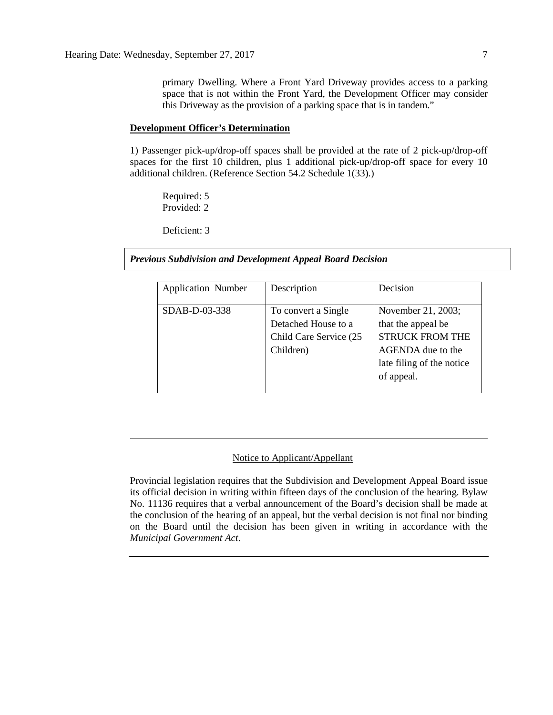primary Dwelling. Where a Front Yard Driveway provides access to a parking space that is not within the Front Yard, the Development Officer may consider this Driveway as the provision of a parking space that is in tandem."

#### **Development Officer's Determination**

1) Passenger pick-up/drop-off spaces shall be provided at the rate of 2 pick-up/drop-off spaces for the first 10 children, plus 1 additional pick-up/drop-off space for every 10 additional children. (Reference Section 54.2 Schedule 1(33).)

Required: 5 Provided: 2

Deficient: 3

*Previous Subdivision and Development Appeal Board Decision*

| <b>Application Number</b> | Description                                                                       | Decision                                                                                                                           |  |  |
|---------------------------|-----------------------------------------------------------------------------------|------------------------------------------------------------------------------------------------------------------------------------|--|--|
| SDAB-D-03-338             | To convert a Single<br>Detached House to a<br>Child Care Service (25<br>Children) | November 21, 2003;<br>that the appeal be<br><b>STRUCK FROM THE</b><br>AGENDA due to the<br>late filing of the notice<br>of appeal. |  |  |

## Notice to Applicant/Appellant

Provincial legislation requires that the Subdivision and Development Appeal Board issue its official decision in writing within fifteen days of the conclusion of the hearing. Bylaw No. 11136 requires that a verbal announcement of the Board's decision shall be made at the conclusion of the hearing of an appeal, but the verbal decision is not final nor binding on the Board until the decision has been given in writing in accordance with the *Municipal Government Act*.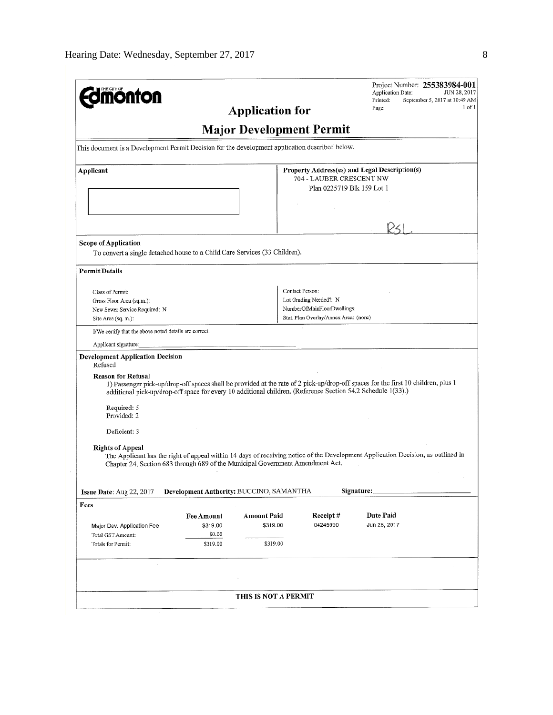| <b>ionfon</b>                                                                                                                             |                                          |                                                                                                         |                                                                          | Project Number: 255383984-001<br>Application Date:<br>JUN 28, 2017<br>Printed:<br>September 5, 2017 at 10:49 AM                   |  |
|-------------------------------------------------------------------------------------------------------------------------------------------|------------------------------------------|---------------------------------------------------------------------------------------------------------|--------------------------------------------------------------------------|-----------------------------------------------------------------------------------------------------------------------------------|--|
|                                                                                                                                           |                                          | <b>Application for</b>                                                                                  |                                                                          | 1 of 1<br>Page:                                                                                                                   |  |
|                                                                                                                                           |                                          | <b>Major Development Permit</b>                                                                         |                                                                          |                                                                                                                                   |  |
| This document is a Development Permit Decision for the development application described below.                                           |                                          |                                                                                                         |                                                                          |                                                                                                                                   |  |
| Applicant                                                                                                                                 |                                          | Property Address(es) and Legal Description(s)<br>704 - LAUBER CRESCENT NW<br>Plan 0225719 Blk 159 Lot 1 |                                                                          |                                                                                                                                   |  |
|                                                                                                                                           |                                          |                                                                                                         |                                                                          | レくし                                                                                                                               |  |
| <b>Scope of Application</b>                                                                                                               |                                          |                                                                                                         |                                                                          |                                                                                                                                   |  |
| To convert a single detached house to a Child Care Services (33 Children).                                                                |                                          |                                                                                                         |                                                                          |                                                                                                                                   |  |
| <b>Permit Details</b>                                                                                                                     |                                          |                                                                                                         |                                                                          |                                                                                                                                   |  |
| Class of Permit:<br>Gross Floor Area (sq.m.):<br>New Sewer Service Required: N                                                            |                                          |                                                                                                         | Contact Person:<br>Lot Grading Needed?: N<br>NumberOfMainFloorDwellings; |                                                                                                                                   |  |
| Site Area (sq. m.):                                                                                                                       |                                          |                                                                                                         | Stat. Plan Overlay/Annex Area: (none)                                    |                                                                                                                                   |  |
| I/We certify that the above noted details are correct.                                                                                    |                                          |                                                                                                         |                                                                          |                                                                                                                                   |  |
| Applicant signature:                                                                                                                      |                                          |                                                                                                         |                                                                          |                                                                                                                                   |  |
| <b>Development Application Decision</b><br>Refused                                                                                        |                                          |                                                                                                         |                                                                          |                                                                                                                                   |  |
| <b>Reason for Refusal</b><br>additional pick-up/drop-off space for every 10 additional children. (Reference Section 54.2 Schedule 1(33).) |                                          |                                                                                                         |                                                                          | 1) Passenger pick-up/drop-off spaces shall be provided at the rate of 2 pick-up/drop-off spaces for the first 10 children, plus 1 |  |
| Required: 5<br>Provided: 2                                                                                                                |                                          |                                                                                                         |                                                                          |                                                                                                                                   |  |
| Deficient: 3                                                                                                                              |                                          |                                                                                                         |                                                                          |                                                                                                                                   |  |
| <b>Rights of Appeal</b><br>Chapter 24, Section 683 through 689 of the Municipal Government Amendment Act.                                 |                                          |                                                                                                         |                                                                          | The Applicant has the right of appeal within 14 days of receiving notice of the Development Application Decision, as outlined in  |  |
| Issue Date: Aug 22, 2017                                                                                                                  | Development Authority: BUCCINO, SAMANTHA |                                                                                                         |                                                                          | Signature:                                                                                                                        |  |
| Fees                                                                                                                                      |                                          |                                                                                                         |                                                                          |                                                                                                                                   |  |
|                                                                                                                                           | <b>Fee Amount</b>                        | <b>Amount Paid</b>                                                                                      | Receipt#                                                                 | Date Paid                                                                                                                         |  |
| Major Dev. Application Fee<br>Total GST Amount:                                                                                           | \$319.00<br>\$0.00                       | \$319.00                                                                                                | 04245990                                                                 | Jun 28, 2017                                                                                                                      |  |
| Totals for Permit:                                                                                                                        | \$319.00                                 | \$319.00                                                                                                |                                                                          |                                                                                                                                   |  |
|                                                                                                                                           |                                          |                                                                                                         |                                                                          |                                                                                                                                   |  |
|                                                                                                                                           |                                          |                                                                                                         |                                                                          |                                                                                                                                   |  |
|                                                                                                                                           |                                          | THIS IS NOT A PERMIT                                                                                    |                                                                          |                                                                                                                                   |  |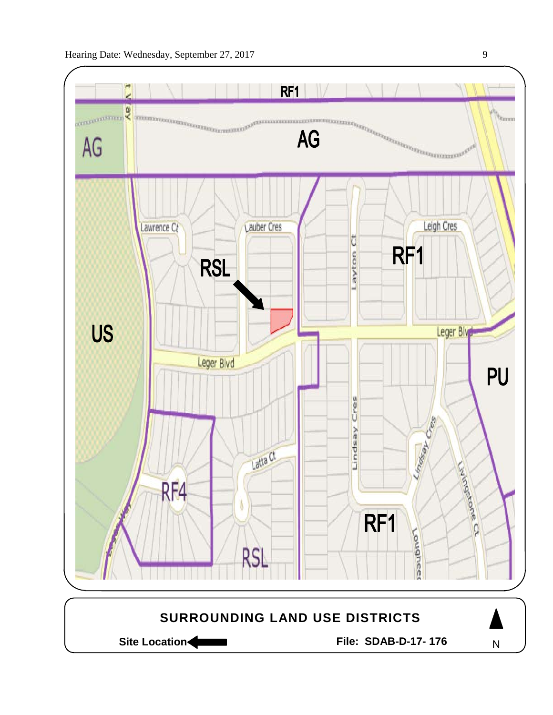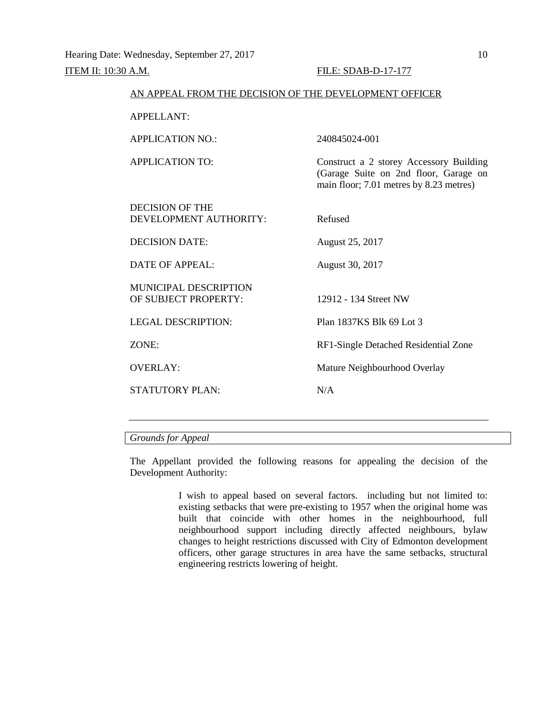| AN APPEAL FROM THE DECISION OF THE DEVELOPMENT OFFICER |                                                                                                                             |
|--------------------------------------------------------|-----------------------------------------------------------------------------------------------------------------------------|
| <b>APPELLANT:</b>                                      |                                                                                                                             |
| <b>APPLICATION NO.:</b>                                | 240845024-001                                                                                                               |
| <b>APPLICATION TO:</b>                                 | Construct a 2 storey Accessory Building<br>(Garage Suite on 2nd floor, Garage on<br>main floor; 7.01 metres by 8.23 metres) |
| <b>DECISION OF THE</b><br>DEVELOPMENT AUTHORITY:       | Refused                                                                                                                     |
| <b>DECISION DATE:</b>                                  | August 25, 2017                                                                                                             |
| <b>DATE OF APPEAL:</b>                                 | August 30, 2017                                                                                                             |
| MUNICIPAL DESCRIPTION<br>OF SUBJECT PROPERTY:          | 12912 - 134 Street NW                                                                                                       |
| <b>LEGAL DESCRIPTION:</b>                              | Plan 1837KS Blk 69 Lot 3                                                                                                    |
| ZONE:                                                  | RF1-Single Detached Residential Zone                                                                                        |
| <b>OVERLAY:</b>                                        | Mature Neighbourhood Overlay                                                                                                |
| <b>STATUTORY PLAN:</b>                                 | N/A                                                                                                                         |
|                                                        |                                                                                                                             |

## *Grounds for Appeal*

The Appellant provided the following reasons for appealing the decision of the Development Authority:

> I wish to appeal based on several factors. including but not limited to: existing setbacks that were pre-existing to 1957 when the original home was built that coincide with other homes in the neighbourhood, full neighbourhood support including directly affected neighbours, bylaw changes to height restrictions discussed with City of Edmonton development officers, other garage structures in area have the same setbacks, structural engineering restricts lowering of height.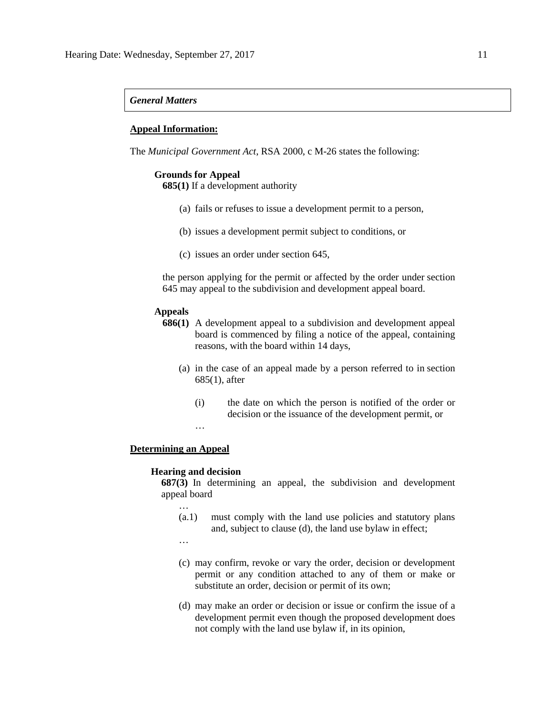#### *General Matters*

## **Appeal Information:**

The *Municipal Government Act*, RSA 2000, c M-26 states the following:

## **Grounds for Appeal**

**685(1)** If a development authority

- (a) fails or refuses to issue a development permit to a person,
- (b) issues a development permit subject to conditions, or
- (c) issues an order under section 645,

the person applying for the permit or affected by the order under section 645 may appeal to the subdivision and development appeal board.

#### **Appeals**

- **686(1)** A development appeal to a subdivision and development appeal board is commenced by filing a notice of the appeal, containing reasons, with the board within 14 days,
	- (a) in the case of an appeal made by a person referred to in section 685(1), after
		- (i) the date on which the person is notified of the order or decision or the issuance of the development permit, or

…

## **Determining an Appeal**

#### **Hearing and decision**

**687(3)** In determining an appeal, the subdivision and development appeal board

- (a.1) must comply with the land use policies and statutory plans and, subject to clause (d), the land use bylaw in effect;
- …

…

- (c) may confirm, revoke or vary the order, decision or development permit or any condition attached to any of them or make or substitute an order, decision or permit of its own;
- (d) may make an order or decision or issue or confirm the issue of a development permit even though the proposed development does not comply with the land use bylaw if, in its opinion,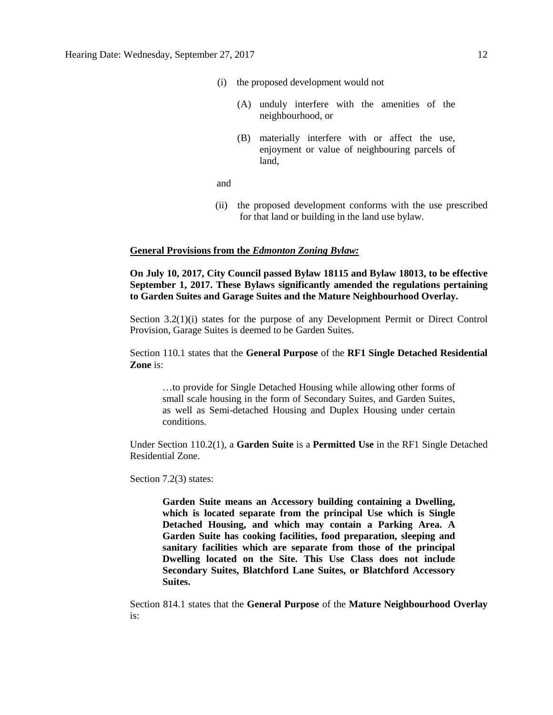- (i) the proposed development would not
	- (A) unduly interfere with the amenities of the neighbourhood, or
	- (B) materially interfere with or affect the use, enjoyment or value of neighbouring parcels of land,

and

(ii) the proposed development conforms with the use prescribed for that land or building in the land use bylaw.

### **General Provisions from the** *Edmonton Zoning Bylaw:*

**On July 10, 2017, City Council passed Bylaw 18115 and Bylaw 18013, to be effective September 1, 2017. These Bylaws significantly amended the regulations pertaining to Garden Suites and Garage Suites and the Mature Neighbourhood Overlay.**

Section 3.2(1)(i) states for the purpose of any Development Permit or Direct Control Provision, Garage Suites is deemed to be Garden Suites.

Section 110.1 states that the **General Purpose** of the **RF1 Single Detached Residential Zone** is:

…to provide for Single Detached Housing while allowing other forms of small scale housing in the form of Secondary Suites, and Garden Suites, as well as Semi-detached Housing and Duplex Housing under certain conditions.

Under Section 110.2(1), a **Garden Suite** is a **Permitted Use** in the RF1 Single Detached Residential Zone.

Section 7.2(3) states:

**Garden Suite means an Accessory building containing a Dwelling, which is located separate from the principal Use which is Single Detached Housing, and which may contain a Parking Area. A Garden Suite has cooking facilities, food preparation, sleeping and sanitary facilities which are separate from those of the principal Dwelling located on the Site. This Use Class does not include Secondary Suites, Blatchford Lane Suites, or Blatchford Accessory Suites.**

Section 814.1 states that the **General Purpose** of the **Mature Neighbourhood Overlay** is: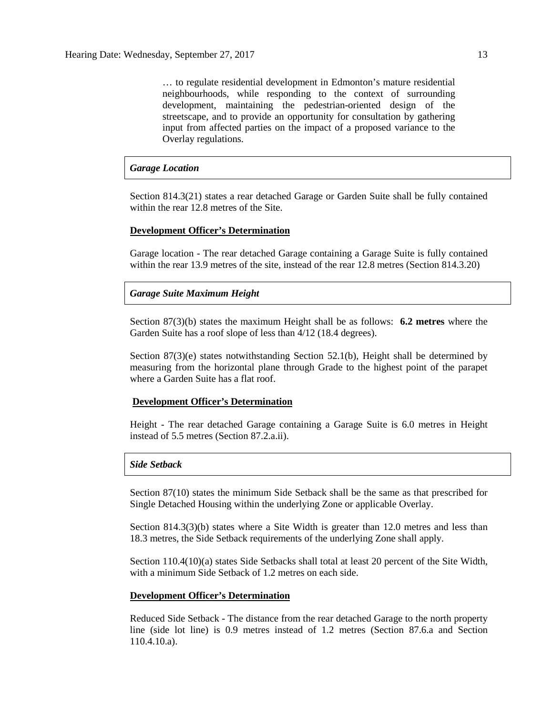… to regulate residential development in Edmonton's mature residential neighbourhoods, while responding to the context of surrounding development, maintaining the pedestrian-oriented design of the streetscape, and to provide an opportunity for consultation by gathering input from affected parties on the impact of a proposed variance to the Overlay regulations.

### *Garage Location*

Section 814.3(21) states a rear detached Garage or Garden Suite shall be fully contained within the rear 12.8 metres of the Site.

### **Development Officer's Determination**

Garage location - The rear detached Garage containing a Garage Suite is fully contained within the rear 13.9 metres of the site, instead of the rear 12.8 metres (Section 814.3.20)

#### *Garage Suite Maximum Height*

Section 87(3)(b) states the maximum Height shall be as follows: **6.2 metres** where the Garden Suite has a roof slope of less than 4/12 (18.4 degrees).

Section  $87(3)(e)$  states notwithstanding Section 52.1(b), Height shall be determined by measuring from the horizontal plane through Grade to the highest point of the parapet where a Garden Suite has a flat roof.

## **Development Officer's Determination**

Height - The rear detached Garage containing a Garage Suite is 6.0 metres in Height instead of 5.5 metres (Section 87.2.a.ii).

#### *Side Setback*

Section 87(10) states the minimum Side Setback shall be the same as that prescribed for Single Detached Housing within the underlying Zone or applicable Overlay.

Section 814.3(3)(b) states where a Site Width is greater than 12.0 metres and less than 18.3 metres, the Side Setback requirements of the underlying Zone shall apply.

Section 110.4(10)(a) states Side Setbacks shall total at least 20 percent of the Site Width, with a minimum Side Setback of 1.2 metres on each side.

#### **Development Officer's Determination**

Reduced Side Setback - The distance from the rear detached Garage to the north property line (side lot line) is 0.9 metres instead of 1.2 metres (Section 87.6.a and Section 110.4.10.a).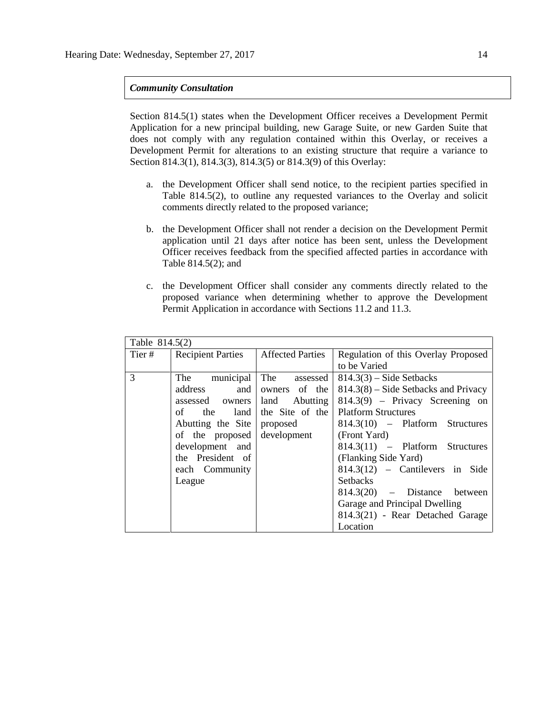## *Community Consultation*

Section 814.5(1) states when the Development Officer receives a Development Permit Application for a new principal building, new Garage Suite, or new Garden Suite that does not comply with any regulation contained within this Overlay, or receives a Development Permit for alterations to an existing structure that require a variance to Section 814.3(1), 814.3(3), 814.3(5) or 814.3(9) of this Overlay:

- a. the Development Officer shall send notice, to the recipient parties specified in Table 814.5(2), to outline any requested variances to the Overlay and solicit comments directly related to the proposed variance;
- b. the Development Officer shall not render a decision on the Development Permit application until 21 days after notice has been sent, unless the Development Officer receives feedback from the specified affected parties in accordance with Table 814.5(2); and
- c. the Development Officer shall consider any comments directly related to the proposed variance when determining whether to approve the Development Permit Application in accordance with Sections 11.2 and 11.3.

| Table 814.5(2) |                                      |               |                                        |  |  |  |
|----------------|--------------------------------------|---------------|----------------------------------------|--|--|--|
| Tier #         | Recipient Parties   Affected Parties |               | Regulation of this Overlay Proposed    |  |  |  |
|                |                                      |               | to be Varied                           |  |  |  |
| $\mathcal{R}$  | The municipal The assessed           |               | $814.3(3)$ – Side Setbacks             |  |  |  |
|                | address and                          | owners of the | $814.3(8)$ – Side Setbacks and Privacy |  |  |  |
|                | assessed owners and Abutting         |               | 814.3(9) – Privacy Screening on        |  |  |  |
|                | of the land the Site of the          |               | <b>Platform Structures</b>             |  |  |  |
|                | Abutting the Site   proposed         |               | 814.3(10) – Platform Structures        |  |  |  |
|                | of the proposed                      | development   | (Front Yard)                           |  |  |  |
|                | development and                      |               | 814.3(11) – Platform Structures        |  |  |  |
|                | the President of                     |               | (Flanking Side Yard)                   |  |  |  |
|                | each Community                       |               | $814.3(12)$ - Cantilevers in Side      |  |  |  |
|                | League                               |               | <b>Setbacks</b>                        |  |  |  |
|                |                                      |               | $814.3(20)$ - Distance between         |  |  |  |
|                |                                      |               | Garage and Principal Dwelling          |  |  |  |
|                |                                      |               | 814.3(21) - Rear Detached Garage       |  |  |  |
|                |                                      |               | Location                               |  |  |  |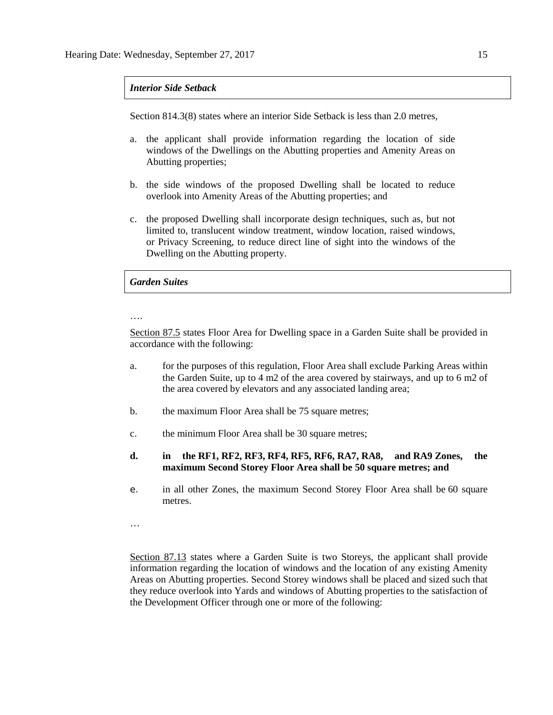## *Interior Side Setback*

Section 814.3(8) states where an interior Side Setback is less than 2.0 metres,

- a. the applicant shall provide information regarding the location of side windows of the Dwellings on the Abutting properties and Amenity Areas on Abutting properties;
- b. the side windows of the proposed Dwelling shall be located to reduce overlook into Amenity Areas of the Abutting properties; and
- c. the proposed Dwelling shall incorporate design techniques, such as, but not limited to, translucent window treatment, window location, raised windows, or Privacy Screening, to reduce direct line of sight into the windows of the Dwelling on the Abutting property.

### *Garden Suites*

#### ….

Section 87.5 states Floor Area for Dwelling space in a Garden Suite shall be provided in accordance with the following:

- a. for the purposes of this regulation, Floor Area shall exclude Parking Areas within the Garden Suite, up to [4 m2](javascript:BSSCPopup() of the area covered by stairways, and up to [6 m2](javascript:BSSCPopup() of the area covered by elevators and any associated landing area;
- b. the maximum Floor Area shall be 75 square metres;
- c. the minimum Floor Area shall be 30 square metres;
- **d. in the [RF1,](javascript:BSSCPopup() [RF2,](javascript:BSSCPopup() [RF3,](javascript:BSSCPopup() [RF4,](javascript:BSSCPopup() [RF5,](javascript:BSSCPopup() [RF6,](javascript:BSSCPopup() [RA7,](javascript:BSSCPopup() [RA8,](javascript:BSSCPopup() and [RA9](javascript:BSSCPopup() Zones, the maximum Second Storey Floor Area shall be 50 square metres; and**
- e. in all other Zones, the maximum Second Storey Floor Area shall be [60 square](javascript:BSSCPopup() metres.
- …

Section 87.13 states where a Garden Suite is two Storeys, the applicant shall provide information regarding the location of windows and the location of any existing Amenity Areas on Abutting properties. Second Storey windows shall be placed and sized such that they reduce overlook into Yards and windows of Abutting properties to the satisfaction of the Development Officer through one or more of the following: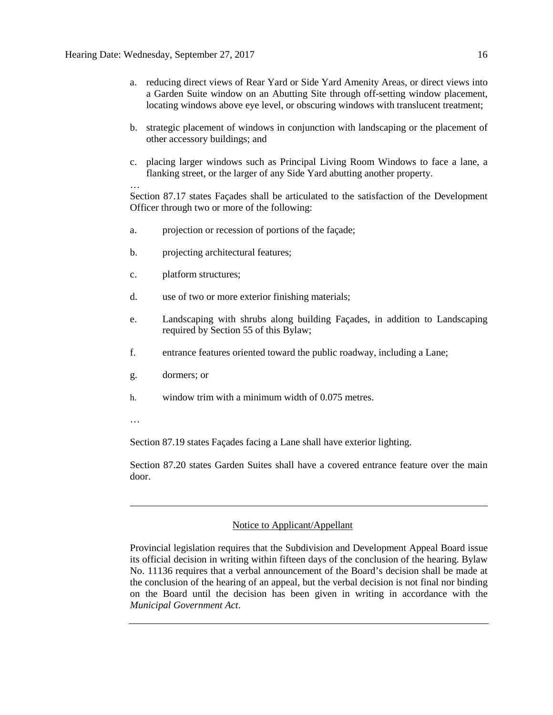- a. reducing direct views of Rear Yard or Side Yard Amenity Areas, or direct views into a Garden Suite window on an Abutting Site through off-setting window placement, locating windows above eye level, or obscuring windows with translucent treatment;
- b. strategic placement of windows in conjunction with landscaping or the placement of other accessory buildings; and
- c. placing larger windows such as Principal Living Room Windows to face a lane, a flanking street, or the larger of any Side Yard abutting another property.

… Section 87.17 states Façades shall be articulated to the satisfaction of the Development Officer through two or more of the following:

- a. projection or recession of portions of the façade;
- b. projecting architectural features;
- c. platform structures;
- d. use of two or more exterior finishing materials;
- e. Landscaping with shrubs along building Façades, in addition to Landscaping required by Section 55 of this Bylaw;
- f. entrance features oriented toward the public roadway, including a Lane;
- g. dormers; or
- h. window trim with a minimum width of 0.075 metres.
- …

Section 87.19 states Façades facing a Lane shall have exterior lighting.

Section 87.20 states Garden Suites shall have a covered entrance feature over the main door.

## Notice to Applicant/Appellant

Provincial legislation requires that the Subdivision and Development Appeal Board issue its official decision in writing within fifteen days of the conclusion of the hearing. Bylaw No. 11136 requires that a verbal announcement of the Board's decision shall be made at the conclusion of the hearing of an appeal, but the verbal decision is not final nor binding on the Board until the decision has been given in writing in accordance with the *Municipal Government Act*.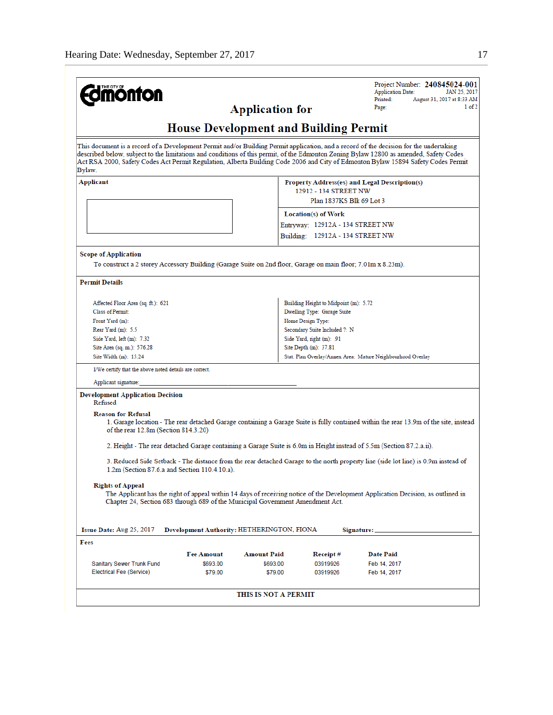| <b>mönton</b>                                                                                                                        |                                            |                        |                                                                      | Project Number: 240845024-001<br><b>Application Date:</b><br>JAN 25, 2017<br>Printed:<br>August 31, 2017 at 8:33 AM                                                                                                                                                                                                                                                                                                   |  |  |  |  |
|--------------------------------------------------------------------------------------------------------------------------------------|--------------------------------------------|------------------------|----------------------------------------------------------------------|-----------------------------------------------------------------------------------------------------------------------------------------------------------------------------------------------------------------------------------------------------------------------------------------------------------------------------------------------------------------------------------------------------------------------|--|--|--|--|
|                                                                                                                                      |                                            | <b>Application for</b> |                                                                      | 1 of 2<br>Page:                                                                                                                                                                                                                                                                                                                                                                                                       |  |  |  |  |
| <b>House Development and Building Permit</b>                                                                                         |                                            |                        |                                                                      |                                                                                                                                                                                                                                                                                                                                                                                                                       |  |  |  |  |
| Bylaw.                                                                                                                               |                                            |                        |                                                                      | This document is a record of a Development Permit and/or Building Permit application, and a record of the decision for the undertaking<br>described below, subject to the limitations and conditions of this permit, of the Edmonton Zoning Bylaw 12800 as amended, Safety Codes<br>Act RSA 2000, Safety Codes Act Permit Regulation, Alberta Building Code 2006 and City of Edmonton Bylaw 15894 Safety Codes Permit |  |  |  |  |
| Applicant                                                                                                                            |                                            |                        | 12912 - 134 STREET NW<br>Plan 1837KS Blk 69 Lot 3                    | Property Address(es) and Legal Description(s)                                                                                                                                                                                                                                                                                                                                                                         |  |  |  |  |
|                                                                                                                                      |                                            |                        | Location(s) of Work<br>Entryway: 12912A - 134 STREET NW              |                                                                                                                                                                                                                                                                                                                                                                                                                       |  |  |  |  |
|                                                                                                                                      |                                            |                        | Building: 12912A - 134 STREET NW                                     |                                                                                                                                                                                                                                                                                                                                                                                                                       |  |  |  |  |
| Scope of Application<br>To construct a 2 storey Accessory Building (Garage Suite on 2nd floor, Garage on main floor; 7.01m x 8.23m). |                                            |                        |                                                                      |                                                                                                                                                                                                                                                                                                                                                                                                                       |  |  |  |  |
| <b>Permit Details</b>                                                                                                                |                                            |                        |                                                                      |                                                                                                                                                                                                                                                                                                                                                                                                                       |  |  |  |  |
| Affected Floor Area (sq. ft.): 621<br>Class of Permit:                                                                               |                                            |                        | Building Height to Midpoint (m): 5.72<br>Dwelling Type: Garage Suite |                                                                                                                                                                                                                                                                                                                                                                                                                       |  |  |  |  |
| Front Yard (m):                                                                                                                      |                                            |                        | Home Design Type:                                                    |                                                                                                                                                                                                                                                                                                                                                                                                                       |  |  |  |  |
| Rear Yard (m): 5.5<br>Side Yard, left (m): 7.32                                                                                      |                                            |                        | Secondary Suite Included ?: N<br>Side Yard, right (m): .91           |                                                                                                                                                                                                                                                                                                                                                                                                                       |  |  |  |  |
| Site Area (sq. m.): 576.28                                                                                                           |                                            |                        | Site Depth (m): 37.81                                                |                                                                                                                                                                                                                                                                                                                                                                                                                       |  |  |  |  |
| Site Width (m): 15.24                                                                                                                |                                            |                        |                                                                      | Stat. Plan Overlay/Annex Area: Mature Neighbourhood Overlay                                                                                                                                                                                                                                                                                                                                                           |  |  |  |  |
| I/We certify that the above noted details are correct.                                                                               |                                            |                        |                                                                      |                                                                                                                                                                                                                                                                                                                                                                                                                       |  |  |  |  |
| Applicant signature:                                                                                                                 |                                            |                        |                                                                      |                                                                                                                                                                                                                                                                                                                                                                                                                       |  |  |  |  |
| <b>Development Application Decision</b><br>Refused                                                                                   |                                            |                        |                                                                      |                                                                                                                                                                                                                                                                                                                                                                                                                       |  |  |  |  |
| <b>Reason for Refusal</b><br>of the rear 12.8m (Section 814.3.20)                                                                    |                                            |                        |                                                                      | 1. Garage location - The rear detached Garage containing a Garage Suite is fully contained within the rear 13.9m of the site, instead                                                                                                                                                                                                                                                                                 |  |  |  |  |
|                                                                                                                                      |                                            |                        |                                                                      | 2. Height - The rear detached Garage containing a Garage Suite is 6.0m in Height instead of 5.5m (Section 87.2.a.ii).                                                                                                                                                                                                                                                                                                 |  |  |  |  |
| 1.2m (Section 87.6.a and Section 110.4.10.a).                                                                                        |                                            |                        |                                                                      | 3. Reduced Side Setback - The distance from the rear detached Garage to the north property line (side lot line) is 0.9m instead of                                                                                                                                                                                                                                                                                    |  |  |  |  |
| <b>Rights of Appeal</b><br>Chapter 24, Section 683 through 689 of the Municipal Government Amendment Act.                            |                                            |                        |                                                                      | The Applicant has the right of appeal within 14 days of receiving notice of the Development Application Decision, as outlined in                                                                                                                                                                                                                                                                                      |  |  |  |  |
| Issue Date: Aug 25, 2017                                                                                                             | Development Authority: HETHERINGTON, FIONA |                        |                                                                      | Signature: _                                                                                                                                                                                                                                                                                                                                                                                                          |  |  |  |  |
| Fees                                                                                                                                 |                                            |                        |                                                                      |                                                                                                                                                                                                                                                                                                                                                                                                                       |  |  |  |  |
|                                                                                                                                      | <b>Fee Amount</b>                          | <b>Amount Paid</b>     | Receipt#                                                             | Date Paid                                                                                                                                                                                                                                                                                                                                                                                                             |  |  |  |  |
| Sanitary Sewer Trunk Fund<br>Electrical Fee (Service)                                                                                | \$693.00                                   | \$693.00               | 03919926                                                             | Feb 14, 2017                                                                                                                                                                                                                                                                                                                                                                                                          |  |  |  |  |
|                                                                                                                                      | \$79.00                                    | \$79.00                | 03919926                                                             | Feb 14, 2017                                                                                                                                                                                                                                                                                                                                                                                                          |  |  |  |  |
|                                                                                                                                      |                                            | THIS IS NOT A PERMIT   |                                                                      |                                                                                                                                                                                                                                                                                                                                                                                                                       |  |  |  |  |
|                                                                                                                                      |                                            |                        |                                                                      |                                                                                                                                                                                                                                                                                                                                                                                                                       |  |  |  |  |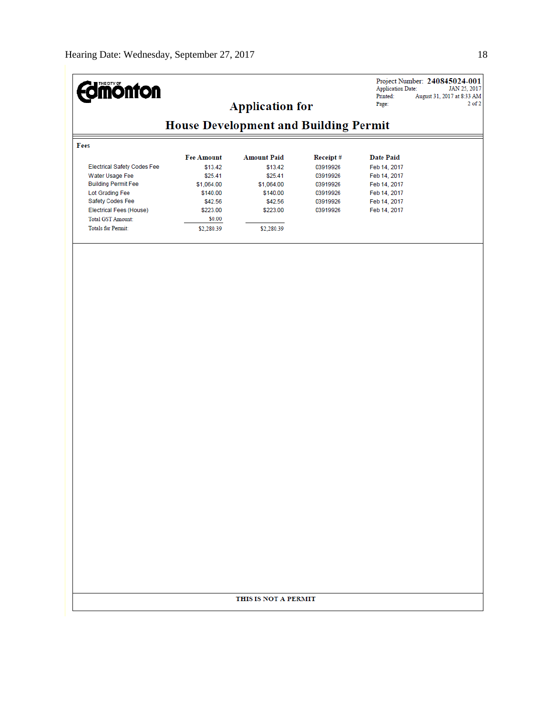| <b>dinönton</b>                               |                                              | <b>Application for</b> |                      | <b>Application Date:</b><br>Printed:<br>Page: | Project Number: 240845024-001<br>JAN 25, 2017<br>August 31, 2017 at 8:33 AM<br>$2$ of $2$ |  |  |  |
|-----------------------------------------------|----------------------------------------------|------------------------|----------------------|-----------------------------------------------|-------------------------------------------------------------------------------------------|--|--|--|
|                                               | <b>House Development and Building Permit</b> |                        |                      |                                               |                                                                                           |  |  |  |
| Fees                                          |                                              |                        |                      |                                               |                                                                                           |  |  |  |
|                                               | <b>Fee Amount</b>                            | <b>Amount Paid</b>     | Receipt#             | <b>Date Paid</b>                              |                                                                                           |  |  |  |
| <b>Electrical Safety Codes Fee</b>            | \$13.42                                      | \$13.42                | 03919926             | Feb 14, 2017                                  |                                                                                           |  |  |  |
| Water Usage Fee                               | \$25.41                                      | \$25.41                | 03919926             | Feb 14, 2017                                  |                                                                                           |  |  |  |
| <b>Building Permit Fee</b><br>Lot Grading Fee | \$1,064.00<br>\$140.00                       | \$1,064.00<br>\$140.00 | 03919926<br>03919926 | Feb 14, 2017<br>Feb 14, 2017                  |                                                                                           |  |  |  |
| Safety Codes Fee                              | \$42.56                                      | \$42.56                | 03919926             | Feb 14, 2017                                  |                                                                                           |  |  |  |
| Electrical Fees (House)                       | \$223.00                                     | \$223.00               | 03919926             | Feb 14, 2017                                  |                                                                                           |  |  |  |
| <b>Total GST Amount:</b>                      | \$0.00                                       |                        |                      |                                               |                                                                                           |  |  |  |
| <b>Totals for Permit:</b>                     | \$2,280.39                                   | \$2,280.39             |                      |                                               |                                                                                           |  |  |  |
|                                               |                                              |                        |                      |                                               |                                                                                           |  |  |  |
|                                               |                                              |                        |                      |                                               |                                                                                           |  |  |  |
|                                               |                                              | THIS IS NOT A PERMIT   |                      |                                               |                                                                                           |  |  |  |